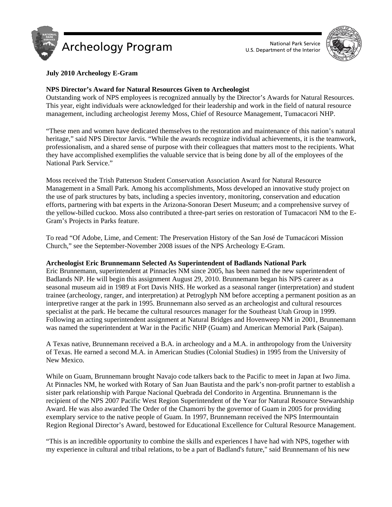



# **July 2010 Archeology E-Gram**

# **NPS Director's Award for Natural Resources Given to Archeologist**

Outstanding work of NPS employees is recognized annually by the Director's Awards for Natural Resources. This year, eight individuals were acknowledged for their leadership and work in the field of natural resource management, including archeologist Jeremy Moss, Chief of Resource Management, Tumacacori NHP.

"These men and women have dedicated themselves to the restoration and maintenance of this nation's natural heritage," said NPS Director Jarvis. "While the awards recognize individual achievements, it is the teamwork, professionalism, and a shared sense of purpose with their colleagues that matters most to the recipients. What they have accomplished exemplifies the valuable service that is being done by all of the employees of the National Park Service."

Moss received the Trish Patterson Student Conservation Association Award for Natural Resource Management in a Small Park. Among his accomplishments, Moss developed an innovative study project on the use of park structures by bats, including a species inventory, monitoring, conservation and education efforts, partnering with bat experts in the Arizona-Sonoran Desert Museum; and a comprehensive survey of the yellow-billed cuckoo. Moss also contributed a three-part series on restoration of Tumacacori NM to the E-Gram's Projects in Parks feature.

To read "Of Adobe, Lime, and Cement: The Preservation History of the San José de Tumacácori Mission Church," see the September-November 2008 issues of the NPS Archeology E-Gram.

# **Archeologist Eric Brunnemann Selected As Superintendent of Badlands National Park**

Eric Brunnemann, superintendent at Pinnacles NM since 2005, has been named the new superintendent of Badlands NP. He will begin this assignment August 29, 2010. Brunnemann began his NPS career as a seasonal museum aid in 1989 at Fort Davis NHS. He worked as a seasonal ranger (interpretation) and student trainee (archeology, ranger, and interpretation) at Petroglyph NM before accepting a permanent position as an interpretive ranger at the park in 1995. Brunnemann also served as an archeologist and cultural resources specialist at the park. He became the cultural resources manager for the Southeast Utah Group in 1999. Following an acting superintendent assignment at Natural Bridges and Hovenweep NM in 2001, Brunnemann was named the superintendent at War in the Pacific NHP (Guam) and American Memorial Park (Saipan).

A Texas native, Brunnemann received a B.A. in archeology and a M.A. in anthropology from the University of Texas. He earned a second M.A. in American Studies (Colonial Studies) in 1995 from the University of New Mexico.

While on Guam, Brunnemann brought Navajo code talkers back to the Pacific to meet in Japan at Iwo Jima. At Pinnacles NM, he worked with Rotary of San Juan Bautista and the park's non-profit partner to establish a sister park relationship with Parque Nacional Quebrada del Condorito in Argentina. Brunnemann is the recipient of the NPS 2007 Pacific West Region Superintendent of the Year for Natural Resource Stewardship Award. He was also awarded The Order of the Chamorri by the governor of Guam in 2005 for providing exemplary service to the native people of Guam. In 1997, Brunnemann received the NPS Intermountain Region Regional Director's Award, bestowed for Educational Excellence for Cultural Resource Management.

"This is an incredible opportunity to combine the skills and experiences I have had with NPS, together with my experience in cultural and tribal relations, to be a part of Badland's future," said Brunnemann of his new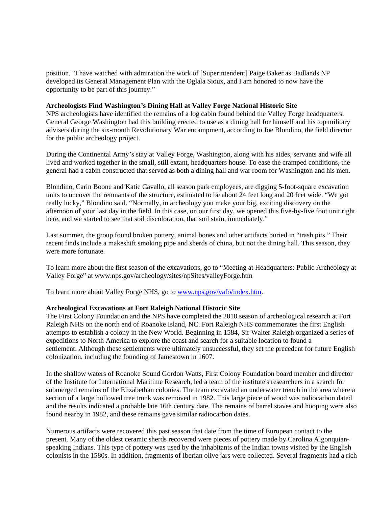position. "I have watched with admiration the work of [Superintendent] Paige Baker as Badlands NP developed its General Management Plan with the Oglala Sioux, and I am honored to now have the opportunity to be part of this journey."

### **Archeologists Find Washington's Dining Hall at Valley Forge National Historic Site**

NPS archeologists have identified the remains of a log cabin found behind the Valley Forge headquarters. General George Washington had this building erected to use as a dining hall for himself and his top military advisers during the six-month Revolutionary War encampment, according to Joe Blondino, the field director for the public archeology project.

During the Continental Army's stay at Valley Forge, Washington, along with his aides, servants and wife all lived and worked together in the small, still extant, headquarters house. To ease the cramped conditions, the general had a cabin constructed that served as both a dining hall and war room for Washington and his men.

Blondino, Carin Boone and Katie Cavallo, all season park employees, are digging 5-foot-square excavation units to uncover the remnants of the structure, estimated to be about 24 feet long and 20 feet wide. "We got really lucky," Blondino said. "Normally, in archeology you make your big, exciting discovery on the afternoon of your last day in the field. In this case, on our first day, we opened this five-by-five foot unit right here, and we started to see that soil discoloration, that soil stain, immediately."

Last summer, the group found broken pottery, animal bones and other artifacts buried in "trash pits." Their recent finds include a makeshift smoking pipe and sherds of china, but not the dining hall. This season, they were more fortunate.

To learn more about the first season of the excavations, go to "Meeting at Headquarters: Public Archeology at Valley Forge" at www.nps.gov/archeology/sites/npSites/valleyForge.htm

To learn more about Valley Forge NHS, go to www.nps.gov/vafo/index.htm.

# **Archeological Excavations at Fort Raleigh National Historic Site**

The First Colony Foundation and the NPS have completed the 2010 season of archeological research at Fort Raleigh NHS on the north end of Roanoke Island, NC. Fort Raleigh NHS commemorates the first English attempts to establish a colony in the New World. Beginning in 1584, Sir Walter Raleigh organized a series of expeditions to North America to explore the coast and search for a suitable location to found a settlement. Although these settlements were ultimately unsuccessful, they set the precedent for future English colonization, including the founding of Jamestown in 1607.

In the shallow waters of Roanoke Sound Gordon Watts, First Colony Foundation board member and director of the Institute for International Maritime Research, led a team of the institute's researchers in a search for submerged remains of the Elizabethan colonies. The team excavated an underwater trench in the area where a section of a large hollowed tree trunk was removed in 1982. This large piece of wood was radiocarbon dated and the results indicated a probable late 16th century date. The remains of barrel staves and hooping were also found nearby in 1982, and these remains gave similar radiocarbon dates.

Numerous artifacts were recovered this past season that date from the time of European contact to the present. Many of the oldest ceramic sherds recovered were pieces of pottery made by Carolina Algonquianspeaking Indians. This type of pottery was used by the inhabitants of the Indian towns visited by the English colonists in the 1580s. In addition, fragments of Iberian olive jars were collected. Several fragments had a rich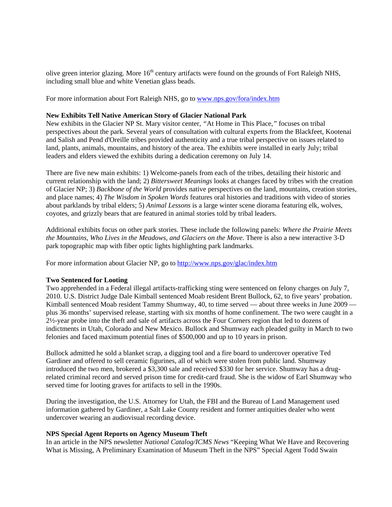olive green interior glazing. More 16<sup>th</sup> century artifacts were found on the grounds of Fort Raleigh NHS, including small blue and white Venetian glass beads.

For more information about Fort Raleigh NHS, go to www.nps.gov/fora/index.htm

### **New Exhibits Tell Native American Story of Glacier National Park**

New exhibits in the Glacier NP St. Mary visitor center, *"*At Home in This Place,*"* focuses on tribal perspectives about the park. Several years of consultation with cultural experts from the Blackfeet, Kootenai and Salish and Pend d'Oreille tribes provided authenticity and a true tribal perspective on issues related to land, plants, animals, mountains, and history of the area. The exhibits were installed in early July; tribal leaders and elders viewed the exhibits during a dedication ceremony on July 14.

There are five new main exhibits: 1) Welcome-panels from each of the tribes, detailing their historic and current relationship with the land; 2) *Bittersweet Meanings* looks at changes faced by tribes with the creation of Glacier NP; 3) *Backbone of the World* provides native perspectives on the land, mountains, creation stories, and place names; 4) *The Wisdom in Spoken Words* features oral histories and traditions with video of stories about parklands by tribal elders; 5) *Animal Lessons* is a large winter scene diorama featuring elk, wolves, coyotes, and grizzly bears that are featured in animal stories told by tribal leaders.

Additional exhibits focus on other park stories. These include the following panels: *Where the Prairie Meets the Mountains, Who Lives in the Meadows, and Glaciers on the Move.* There is also a new interactive 3-D park topographic map with fiber optic lights highlighting park landmarks.

For more information about Glacier NP, go to http://www.nps.gov/glac/index.htm

# **Two Sentenced for Looting**

Two apprehended in a Federal illegal artifacts-trafficking sting were sentenced on felony charges on July 7, 2010. U.S. District Judge Dale Kimball sentenced Moab resident Brent Bullock, 62, to five years' probation. Kimball sentenced Moab resident Tammy Shumway, 40, to time served — about three weeks in June 2009 plus 36 months' supervised release, starting with six months of home confinement. The two were caught in a 2½-year probe into the theft and sale of artifacts across the Four Corners region that led to dozens of indictments in Utah, Colorado and New Mexico. Bullock and Shumway each pleaded guilty in March to two felonies and faced maximum potential fines of \$500,000 and up to 10 years in prison.

Bullock admitted he sold a blanket scrap, a digging tool and a fire board to undercover operative Ted Gardiner and offered to sell ceramic figurines, all of which were stolen from public land. Shumway introduced the two men, brokered a \$3,300 sale and received \$330 for her service. Shumway has a drugrelated criminal record and served prison time for credit-card fraud. She is the widow of Earl Shumway who served time for looting graves for artifacts to sell in the 1990s.

During the investigation, the U.S. Attorney for Utah, the FBI and the Bureau of Land Management used information gathered by Gardiner, a Salt Lake County resident and former antiquities dealer who went undercover wearing an audiovisual recording device.

#### **NPS Special Agent Reports on Agency Museum Theft**

In an article in the NPS newsletter *National Catalog/ICMS News* "Keeping What We Have and Recovering What is Missing, A Preliminary Examination of Museum Theft in the NPS" Special Agent Todd Swain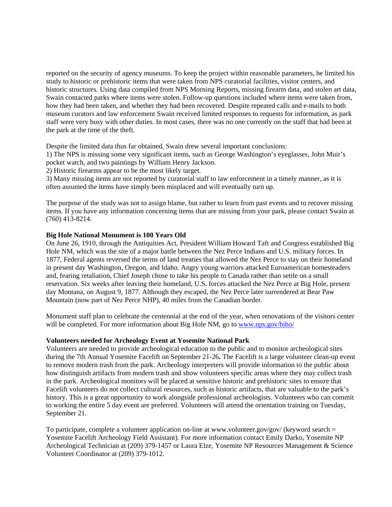reported on the security of agency museums. To keep the project within reasonable parameters, he limited his study to historic or prehistoric items that were taken from NPS curatorial facilities, visitor centers, and historic structures. Using data compiled from NPS Morning Reports, missing firearm data, and stolen art data, Swain contacted parks where items were stolen. Follow-up questions included where items were taken from, how they had been taken, and whether they had been recovered. Despite repeated calls and e-mails to both museum curators and law enforcement Swain received limited responses to requests for information, as park staff were very busy with other duties. In most cases, there was no one currently on the staff that had been at the park at the time of the theft.

Despite the limited data thus far obtained, Swain drew several important conclusions:

1) The NPS is missing some very significant items, such as George Washington's eyeglasses, John Muir's pocket watch, and two paintings by William Henry Jackson.

2) Historic firearms appear to be the most likely target.

3) Many missing items are not reported by curatorial staff to law enforcement in a timely manner, as it is often assumed the items have simply been misplaced and will eventually turn up.

The purpose of the study was not to assign blame, but rather to learn from past events and to recover missing items. If you have any information concerning items that are missing from your park, please contact Swain at (760) 413-8214.

### **Big Hole National Monument is 100 Years Old**

On June 26, 1910, through the Antiquities Act, President William Howard Taft and Congress established Big Hole NM, which was the site of a major battle between the Nez Perce Indians and U.S. military forces. In 1877, Federal agents reversed the terms of land treaties that allowed the Nez Perce to stay on their homeland in present day Washington, Oregon, and Idaho. Angry young warriors attacked Euroamerican homesteaders and, fearing retaliation, Chief Joseph chose to take his people to Canada rather than settle on a small reservation. Six weeks after leaving their homeland, U.S. forces attacked the Nez Perce at Big Hole, present day Montana, on August 9, 1877. Although they escaped, the Nez Perce later surrendered at Bear Paw Mountain (now part of Nez Perce NHP), 40 miles from the Canadian border.

Monument staff plan to celebrate the centennial at the end of the year, when renovations of the visitors center will be completed. For more information about Big Hole NM, go to www.nps.gov/biho/

#### **Volunteers needed for Archeology Event at Yosemite National Park**

Volunteers are needed to provide archeological education to the public and to monitor archeological sites during the 7th Annual Yosemite Facelift on September 21-26**.** The Facelift is a large volunteer clean-up event to remove modern trash from the park. Archeology interpreters will provide information to the public about how distinguish artifacts from modern trash and show volunteers specific areas where they may collect trash in the park. Archeological monitors will be placed at sensitive historic and prehistoric sites to ensure that Facelift volunteers do not collect cultural resources, such as historic artifacts, that are valuable to the park's history. This is a great opportunity to work alongside professional archeologists. Volunteers who can commit to working the entire 5 day event are preferred. Volunteers will attend the orientation training on Tuesday, September 21.

To participate, complete a volunteer application on-line at www.volunteer.gov/gov/ (keyword search = Yosemite Facelift Archeology Field Assistant). For more information contact Emily Darko, Yosemite NP Archeological Technician at (209) 379-1457 or Laura Elze, Yosemite NP Resources Management & Science Volunteer Coordinator at (209) 379-1012.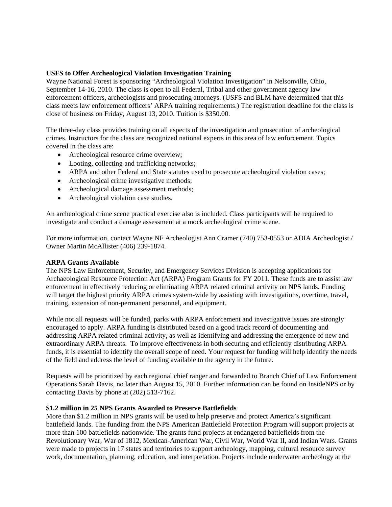# **USFS to Offer Archeological Violation Investigation Training**

Wayne National Forest is sponsoring "Archeological Violation Investigation" in Nelsonville, Ohio, September 14-16, 2010. The class is open to all Federal, Tribal and other government agency law enforcement officers, archeologists and prosecuting attorneys. (USFS and BLM have determined that this class meets law enforcement officers' ARPA training requirements.) The registration deadline for the class is close of business on Friday, August 13, 2010. Tuition is \$350.00.

The three-day class provides training on all aspects of the investigation and prosecution of archeological crimes. Instructors for the class are recognized national experts in this area of law enforcement. Topics covered in the class are:

- Archeological resource crime overview;
- Looting, collecting and trafficking networks;
- ARPA and other Federal and State statutes used to prosecute archeological violation cases;
- Archeological crime investigative methods;
- Archeological damage assessment methods;
- Archeological violation case studies.

An archeological crime scene practical exercise also is included. Class participants will be required to investigate and conduct a damage assessment at a mock archeological crime scene.

For more information, contact Wayne NF Archeologist Ann Cramer (740) 753-0553 or ADIA Archeologist / Owner Martin McAllister (406) 239-1874.

# **ARPA Grants Available**

The NPS Law Enforcement, Security, and Emergency Services Division is accepting applications for Archaeological Resource Protection Act (ARPA) Program Grants for FY 2011. These funds are to assist law enforcement in effectively reducing or eliminating ARPA related criminal activity on NPS lands. Funding will target the highest priority ARPA crimes system-wide by assisting with investigations, overtime, travel, training, extension of non-permanent personnel, and equipment.

While not all requests will be funded, parks with ARPA enforcement and investigative issues are strongly encouraged to apply. ARPA funding is distributed based on a good track record of documenting and addressing ARPA related criminal activity, as well as identifying and addressing the emergence of new and extraordinary ARPA threats. To improve effectiveness in both securing and efficiently distributing ARPA funds, it is essential to identify the overall scope of need. Your request for funding will help identify the needs of the field and address the level of funding available to the agency in the future.

Requests will be prioritized by each regional chief ranger and forwarded to Branch Chief of Law Enforcement Operations Sarah Davis, no later than August 15, 2010. Further information can be found on InsideNPS or by contacting Davis by phone at (202) 513-7162.

# **\$1.2 million in 25 NPS Grants Awarded to Preserve Battlefields**

More than \$1.2 million in NPS grants will be used to help preserve and protect America's significant battlefield lands. The funding from the NPS American Battlefield Protection Program will support projects at more than 100 battlefields nationwide. The grants fund projects at endangered battlefields from the Revolutionary War, War of 1812, Mexican-American War, Civil War, World War II, and Indian Wars. Grants were made to projects in 17 states and territories to support archeology, mapping, cultural resource survey work, documentation, planning, education, and interpretation. Projects include underwater archeology at the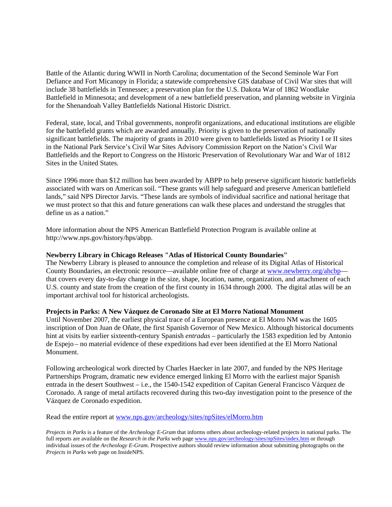Battle of the Atlantic during WWII in North Carolina; documentation of the Second Seminole War Fort Defiance and Fort Micanopy in Florida; a statewide comprehensive GIS database of Civil War sites that will include 38 battlefields in Tennessee; a preservation plan for the U.S. Dakota War of 1862 Woodlake Battlefield in Minnesota; and development of a new battlefield preservation, and planning website in Virginia for the Shenandoah Valley Battlefields National Historic District.

Federal, state, local, and Tribal governments, nonprofit organizations, and educational institutions are eligible for the battlefield grants which are awarded annually. Priority is given to the preservation of nationally significant battlefields. The majority of grants in 2010 were given to battlefields listed as Priority I or II sites in the National Park Service's Civil War Sites Advisory Commission Report on the Nation's Civil War Battlefields and the Report to Congress on the Historic Preservation of Revolutionary War and War of 1812 Sites in the United States.

Since 1996 more than \$12 million has been awarded by ABPP to help preserve significant historic battlefields associated with wars on American soil. "These grants will help safeguard and preserve American battlefield lands," said NPS Director Jarvis. "These lands are symbols of individual sacrifice and national heritage that we must protect so that this and future generations can walk these places and understand the struggles that define us as a nation."

More information about the NPS American Battlefield Protection Program is available online at http://www.nps.gov/history/hps/abpp.

## **Newberry Library in Chicago Releases "Atlas of Historical County Boundaries"**

The Newberry Library is pleased to announce the completion and release of its Digital Atlas of Historical County Boundaries, an electronic resource—available online free of charge at www.newberry.org/ahcbp that covers every day-to-day change in the size, shape, location, name, organization, and attachment of each U.S. county and state from the creation of the first county in 1634 through 2000. The digital atlas will be an important archival tool for historical archeologists.

#### **Projects in Parks: A New Vázquez de Coronado Site at El Morro National Monument**

Until November 2007, the earliest physical trace of a European presence at El Morro NM was the 1605 inscription of Don Juan de Oñate, the first Spanish Governor of New Mexico. Although historical documents hint at visits by earlier sixteenth-century Spanish *entradas* – particularly the 1583 expedition led by Antonio de Espejo – no material evidence of these expeditions had ever been identified at the El Morro National Monument.

Following archeological work directed by Charles Haecker in late 2007, and funded by the NPS Heritage Partnerships Program, dramatic new evidence emerged linking El Morro with the earliest major Spanish entrada in the desert Southwest – i.e., the 1540-1542 expedition of Capitan General Francisco Vázquez de Coronado. A range of metal artifacts recovered during this two-day investigation point to the presence of the Vázquez de Coronado expedition.

Read the entire report at www.nps.gov/archeology/sites/npSites/elMorro.htm

*Projects in Parks* is a feature of the *Archeology E-Gram* that informs others about archeology-related projects in national parks. The full reports are available on the *Research in the Parks* web page www.nps.gov/archeology/sites/npSites/index.htm or through individual issues of the *Archeology E-Gram*. Prospective authors should review information about submitting photographs on the *Projects in Parks* web page on InsideNPS.